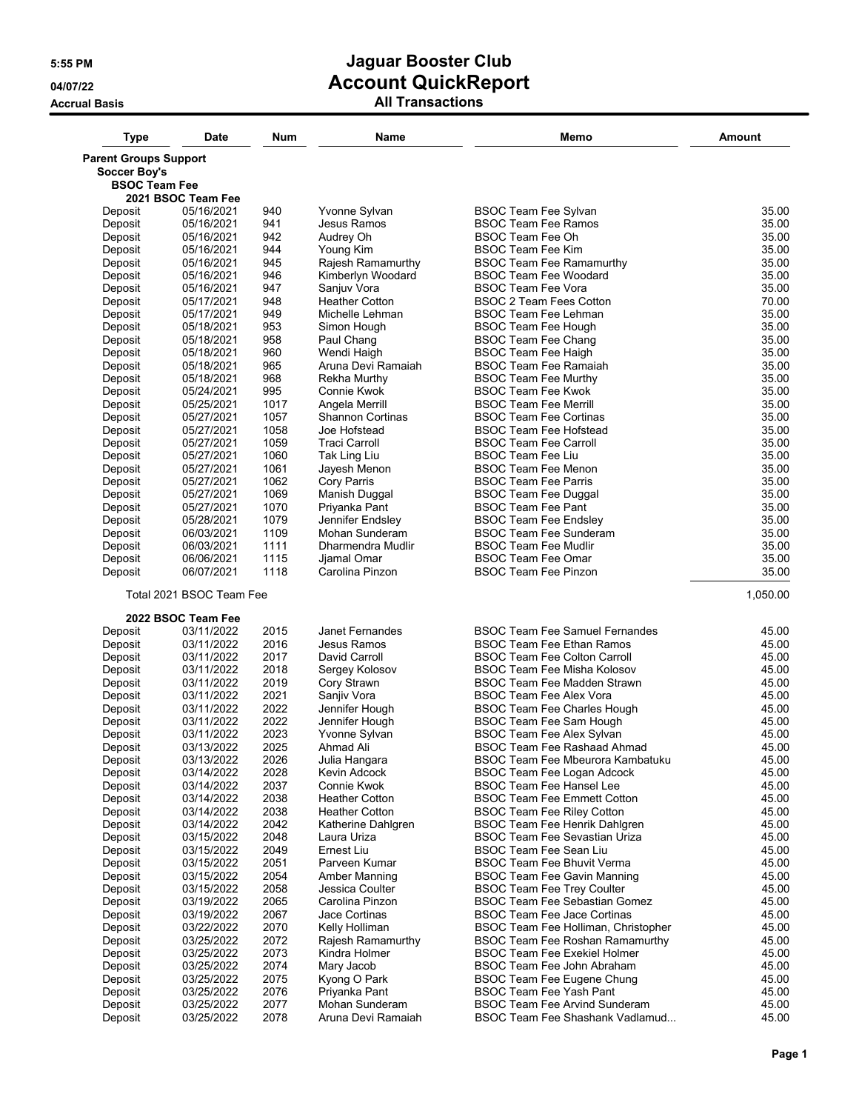## **5:55 PM Jaguar Booster Club 04/07/22 Account QuickReport**

**Accrual Basis All Transactions**

| <b>Type</b>                  | <b>Date</b>              | Num          | <b>Name</b>                             | Memo                                                                      | Amount         |
|------------------------------|--------------------------|--------------|-----------------------------------------|---------------------------------------------------------------------------|----------------|
| <b>Parent Groups Support</b> |                          |              |                                         |                                                                           |                |
| <b>Soccer Boy's</b>          |                          |              |                                         |                                                                           |                |
| <b>BSOC Team Fee</b>         | 2021 BSOC Team Fee       |              |                                         |                                                                           |                |
| Deposit                      | 05/16/2021               | 940          | Yvonne Sylvan                           | <b>BSOC Team Fee Sylvan</b>                                               | 35.00          |
| Deposit                      | 05/16/2021               | 941          | Jesus Ramos                             | <b>BSOC Team Fee Ramos</b>                                                | 35.00          |
| Deposit                      | 05/16/2021               | 942          | Audrey Oh                               | BSOC Team Fee Oh                                                          | 35.00          |
| Deposit                      | 05/16/2021               | 944          | Young Kim                               | <b>BSOC Team Fee Kim</b>                                                  | 35.00          |
| Deposit                      | 05/16/2021               | 945          | Rajesh Ramamurthy                       | <b>BSOC Team Fee Ramamurthy</b>                                           | 35.00          |
| Deposit                      | 05/16/2021               | 946          | Kimberlyn Woodard                       | <b>BSOC Team Fee Woodard</b>                                              | 35.00          |
| Deposit                      | 05/16/2021               | 947<br>948   | Sanjuv Vora<br><b>Heather Cotton</b>    | <b>BSOC Team Fee Vora</b><br><b>BSOC 2 Team Fees Cotton</b>               | 35.00<br>70.00 |
| Deposit<br>Deposit           | 05/17/2021<br>05/17/2021 | 949          | Michelle Lehman                         | <b>BSOC Team Fee Lehman</b>                                               | 35.00          |
| Deposit                      | 05/18/2021               | 953          | Simon Hough                             | <b>BSOC Team Fee Hough</b>                                                | 35.00          |
| Deposit                      | 05/18/2021               | 958          | Paul Chang                              | <b>BSOC Team Fee Chang</b>                                                | 35.00          |
| Deposit                      | 05/18/2021               | 960          | Wendi Haigh                             | <b>BSOC Team Fee Haigh</b>                                                | 35.00          |
| Deposit                      | 05/18/2021               | 965          | Aruna Devi Ramaiah                      | <b>BSOC Team Fee Ramaiah</b>                                              | 35.00          |
| Deposit                      | 05/18/2021               | 968          | Rekha Murthy                            | <b>BSOC Team Fee Murthy</b>                                               | 35.00          |
| Deposit                      | 05/24/2021               | 995          | Connie Kwok                             | <b>BSOC Team Fee Kwok</b>                                                 | 35.00          |
| Deposit                      | 05/25/2021               | 1017         | Angela Merrill                          | <b>BSOC Team Fee Merrill</b>                                              | 35.00          |
| Deposit<br>Deposit           | 05/27/2021<br>05/27/2021 | 1057<br>1058 | <b>Shannon Cortinas</b><br>Joe Hofstead | <b>BSOC Team Fee Cortinas</b><br><b>BSOC Team Fee Hofstead</b>            | 35.00<br>35.00 |
| Deposit                      | 05/27/2021               | 1059         | <b>Traci Carroll</b>                    | <b>BSOC Team Fee Carroll</b>                                              | 35.00          |
| Deposit                      | 05/27/2021               | 1060         | Tak Ling Liu                            | <b>BSOC Team Fee Liu</b>                                                  | 35.00          |
| Deposit                      | 05/27/2021               | 1061         | Jayesh Menon                            | <b>BSOC Team Fee Menon</b>                                                | 35.00          |
| Deposit                      | 05/27/2021               | 1062         | <b>Cory Parris</b>                      | <b>BSOC Team Fee Parris</b>                                               | 35.00          |
| Deposit                      | 05/27/2021               | 1069         | Manish Duggal                           | <b>BSOC Team Fee Duggal</b>                                               | 35.00          |
| Deposit                      | 05/27/2021               | 1070         | Priyanka Pant                           | <b>BSOC Team Fee Pant</b>                                                 | 35.00          |
| Deposit                      | 05/28/2021               | 1079         | Jennifer Endsley                        | <b>BSOC Team Fee Endsley</b>                                              | 35.00          |
| Deposit<br>Deposit           | 06/03/2021               | 1109<br>1111 | Mohan Sunderam<br>Dharmendra Mudlir     | <b>BSOC Team Fee Sunderam</b><br><b>BSOC Team Fee Mudlir</b>              | 35.00<br>35.00 |
| Deposit                      | 06/03/2021<br>06/06/2021 | 1115         | Jjamal Omar                             | <b>BSOC Team Fee Omar</b>                                                 | 35.00          |
| Deposit                      | 06/07/2021               | 1118         | Carolina Pinzon                         | <b>BSOC Team Fee Pinzon</b>                                               | 35.00          |
|                              | Total 2021 BSOC Team Fee |              |                                         |                                                                           | 1,050.00       |
|                              | 2022 BSOC Team Fee       |              |                                         |                                                                           |                |
| Deposit                      | 03/11/2022               | 2015         | Janet Fernandes                         | <b>BSOC Team Fee Samuel Fernandes</b>                                     | 45.00          |
| Deposit                      | 03/11/2022               | 2016         | Jesus Ramos                             | <b>BSOC Team Fee Ethan Ramos</b>                                          | 45.00          |
| Deposit                      | 03/11/2022               | 2017         | David Carroll                           | <b>BSOC Team Fee Colton Carroll</b>                                       | 45.00          |
| Deposit<br>Deposit           | 03/11/2022<br>03/11/2022 | 2018<br>2019 | Sergey Kolosov<br>Cory Strawn           | <b>BSOC Team Fee Misha Kolosov</b><br>BSOC Team Fee Madden Strawn         | 45.00<br>45.00 |
| Deposit                      | 03/11/2022               | 2021         | Sanjiv Vora                             | <b>BSOC Team Fee Alex Vora</b>                                            | 45.00          |
| Deposit                      | 03/11/2022               | 2022         | Jennifer Hough                          | <b>BSOC Team Fee Charles Hough</b>                                        | 45.00          |
| Deposit                      | 03/11/2022               | 2022         | Jennifer Hough                          | BSOC Team Fee Sam Hough                                                   | 45.00          |
| Deposit                      | 03/11/2022               | 2023         | Yvonne Sylvan                           | <b>BSOC Team Fee Alex Sylvan</b>                                          | 45.00          |
| Deposit                      | 03/13/2022               | 2025         | Ahmad Ali                               | BSOC Team Fee Rashaad Ahmad                                               | 45.00          |
| Deposit                      | 03/13/2022               | 2026         | Julia Hangara                           | BSOC Team Fee Mbeurora Kambatuku                                          | 45.00          |
| Deposit                      | 03/14/2022               | 2028         | Kevin Adcock                            | <b>BSOC Team Fee Logan Adcock</b>                                         | 45.00          |
| Deposit<br>Deposit           | 03/14/2022               | 2037<br>2038 | Connie Kwok<br><b>Heather Cotton</b>    | <b>BSOC Team Fee Hansel Lee</b><br><b>BSOC Team Fee Emmett Cotton</b>     | 45.00<br>45.00 |
| Deposit                      | 03/14/2022<br>03/14/2022 | 2038         | <b>Heather Cotton</b>                   | <b>BSOC Team Fee Riley Cotton</b>                                         | 45.00          |
| Deposit                      | 03/14/2022               | 2042         | Katherine Dahlgren                      | BSOC Team Fee Henrik Dahlgren                                             | 45.00          |
| Deposit                      | 03/15/2022               | 2048         | Laura Uriza                             | <b>BSOC Team Fee Sevastian Uriza</b>                                      | 45.00          |
| Deposit                      | 03/15/2022               | 2049         | <b>Ernest Liu</b>                       | <b>BSOC Team Fee Sean Liu</b>                                             | 45.00          |
| Deposit                      | 03/15/2022               | 2051         | Parveen Kumar                           | <b>BSOC Team Fee Bhuvit Verma</b>                                         | 45.00          |
| Deposit                      | 03/15/2022               | 2054         | Amber Manning                           | <b>BSOC Team Fee Gavin Manning</b>                                        | 45.00          |
| Deposit                      | 03/15/2022               | 2058         | Jessica Coulter                         | <b>BSOC Team Fee Trey Coulter</b>                                         | 45.00          |
| Deposit                      | 03/19/2022               | 2065         | Carolina Pinzon                         | <b>BSOC Team Fee Sebastian Gomez</b>                                      | 45.00          |
| Deposit<br>Deposit           | 03/19/2022<br>03/22/2022 | 2067<br>2070 | Jace Cortinas<br>Kelly Holliman         | <b>BSOC Team Fee Jace Cortinas</b><br>BSOC Team Fee Holliman, Christopher | 45.00<br>45.00 |
| Deposit                      | 03/25/2022               | 2072         | Rajesh Ramamurthy                       | <b>BSOC Team Fee Roshan Ramamurthy</b>                                    | 45.00          |
| Deposit                      | 03/25/2022               | 2073         | Kindra Holmer                           | <b>BSOC Team Fee Exekiel Holmer</b>                                       | 45.00          |
| Deposit                      | 03/25/2022               | 2074         | Mary Jacob                              | BSOC Team Fee John Abraham                                                | 45.00          |
| Deposit                      | 03/25/2022               | 2075         | Kyong O Park                            | BSOC Team Fee Eugene Chung                                                | 45.00          |
| Deposit                      | 03/25/2022               | 2076         | Priyanka Pant                           | <b>BSOC Team Fee Yash Pant</b>                                            | 45.00          |
| Deposit                      | 03/25/2022               | 2077         | Mohan Sunderam                          | <b>BSOC Team Fee Arvind Sunderam</b>                                      | 45.00          |
| Deposit                      | 03/25/2022               | 2078         | Aruna Devi Ramaiah                      | BSOC Team Fee Shashank Vadlamud                                           | 45.00          |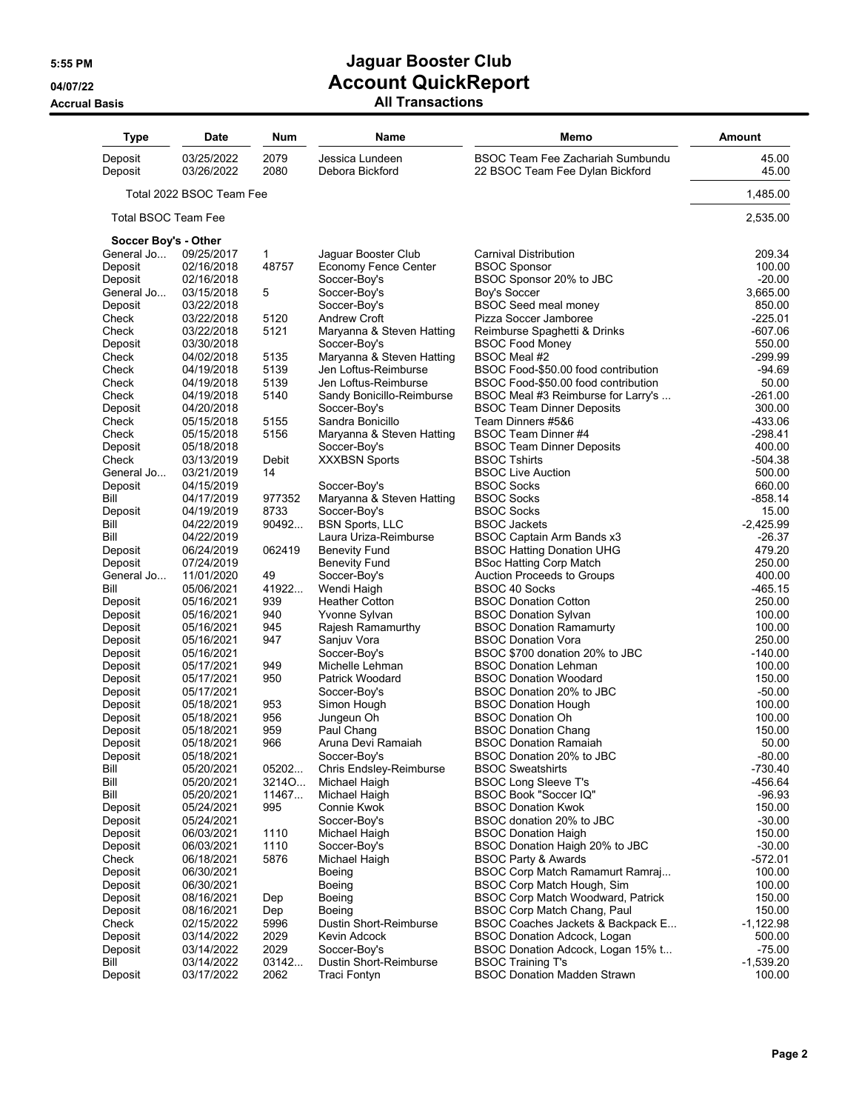## **5:55 PM Jaguar Booster Club 04/07/22 Account QuickReport**

**Accrual Basis All Transactions**

| <b>Type</b>          | <b>Date</b>              | Num           | <b>Name</b>                            | Memo                                                                       | <b>Amount</b>           |
|----------------------|--------------------------|---------------|----------------------------------------|----------------------------------------------------------------------------|-------------------------|
| Deposit<br>Deposit   | 03/25/2022<br>03/26/2022 | 2079<br>2080  | Jessica Lundeen<br>Debora Bickford     | <b>BSOC Team Fee Zachariah Sumbundu</b><br>22 BSOC Team Fee Dylan Bickford | 45.00<br>45.00          |
|                      | Total 2022 BSOC Team Fee |               |                                        |                                                                            | 1,485.00                |
| Total BSOC Team Fee  |                          |               |                                        |                                                                            | 2,535.00                |
| Soccer Boy's - Other |                          |               |                                        |                                                                            |                         |
| General Jo           | 09/25/2017               | $\mathbf{1}$  | Jaguar Booster Club                    | Carnival Distribution                                                      | 209.34                  |
| Deposit              | 02/16/2018               | 48757         | <b>Economy Fence Center</b>            | <b>BSOC Sponsor</b>                                                        | 100.00                  |
| Deposit              | 02/16/2018               |               | Soccer-Boy's                           | BSOC Sponsor 20% to JBC                                                    | $-20.00$                |
| General Jo           | 03/15/2018               | 5             | Soccer-Boy's                           | Boy's Soccer                                                               | 3,665.00                |
| Deposit              | 03/22/2018               |               | Soccer-Boy's<br><b>Andrew Croft</b>    | <b>BSOC Seed meal money</b>                                                | 850.00<br>$-225.01$     |
| Check<br>Check       | 03/22/2018<br>03/22/2018 | 5120<br>5121  | Maryanna & Steven Hatting              | Pizza Soccer Jamboree<br>Reimburse Spaghetti & Drinks                      | $-607.06$               |
| Deposit              | 03/30/2018               |               | Soccer-Boy's                           | <b>BSOC Food Money</b>                                                     | 550.00                  |
| Check                | 04/02/2018               | 5135          | Maryanna & Steven Hatting              | BSOC Meal #2                                                               | -299.99                 |
| Check                | 04/19/2018               | 5139          | Jen Loftus-Reimburse                   | BSOC Food-\$50.00 food contribution                                        | $-94.69$                |
| Check                | 04/19/2018               | 5139          | Jen Loftus-Reimburse                   | BSOC Food-\$50.00 food contribution                                        | 50.00                   |
| Check                | 04/19/2018               | 5140          | Sandy Bonicillo-Reimburse              | BSOC Meal #3 Reimburse for Larry's                                         | $-261.00$               |
| Deposit              | 04/20/2018               |               | Soccer-Boy's                           | <b>BSOC Team Dinner Deposits</b>                                           | 300.00                  |
| Check                | 05/15/2018               | 5155          | Sandra Bonicillo                       | Team Dinners #5&6                                                          | -433.06                 |
| Check                | 05/15/2018               | 5156          | Maryanna & Steven Hatting              | BSOC Team Dinner #4                                                        | $-298.41$               |
| Deposit              | 05/18/2018               |               | Soccer-Boy's                           | <b>BSOC Team Dinner Deposits</b>                                           | 400.00                  |
| Check                | 03/13/2019               | Debit         | <b>XXXBSN Sports</b>                   | <b>BSOC Tshirts</b>                                                        | -504.38                 |
| General Jo           | 03/21/2019               | 14            |                                        | <b>BSOC Live Auction</b>                                                   | 500.00                  |
| Deposit              | 04/15/2019               |               | Soccer-Boy's                           | <b>BSOC Socks</b>                                                          | 660.00                  |
| Bill                 | 04/17/2019               | 977352        | Maryanna & Steven Hatting              | <b>BSOC Socks</b>                                                          | $-858.14$               |
| Deposit              | 04/19/2019               | 8733          | Soccer-Boy's                           | <b>BSOC Socks</b>                                                          | 15.00                   |
| Bill                 | 04/22/2019               | 90492         | <b>BSN Sports, LLC</b>                 | <b>BSOC Jackets</b>                                                        | $-2,425.99$             |
| Bill                 | 04/22/2019               |               | Laura Uriza-Reimburse                  | BSOC Captain Arm Bands x3                                                  | $-26.37$                |
| Deposit              | 06/24/2019               | 062419        | <b>Benevity Fund</b>                   | <b>BSOC Hatting Donation UHG</b>                                           | 479.20                  |
| Deposit              | 07/24/2019               |               | <b>Benevity Fund</b>                   | <b>BSoc Hatting Corp Match</b>                                             | 250.00                  |
| General Jo           | 11/01/2020               | 49            | Soccer-Boy's                           | Auction Proceeds to Groups                                                 | 400.00                  |
| Bill                 | 05/06/2021               | 41922         | Wendi Haigh                            | <b>BSOC 40 Socks</b>                                                       | -465.15                 |
| Deposit              | 05/16/2021               | 939           | <b>Heather Cotton</b>                  | <b>BSOC Donation Cotton</b>                                                | 250.00                  |
| Deposit              | 05/16/2021               | 940<br>945    | Yvonne Sylvan                          | <b>BSOC Donation Sylvan</b>                                                | 100.00<br>100.00        |
| Deposit<br>Deposit   | 05/16/2021<br>05/16/2021 | 947           | Rajesh Ramamurthy<br>Sanjuv Vora       | <b>BSOC Donation Ramamurty</b><br><b>BSOC Donation Vora</b>                | 250.00                  |
| Deposit              | 05/16/2021               |               | Soccer-Boy's                           | BSOC \$700 donation 20% to JBC                                             | $-140.00$               |
| Deposit              | 05/17/2021               | 949           | Michelle Lehman                        | <b>BSOC Donation Lehman</b>                                                | 100.00                  |
| Deposit              | 05/17/2021               | 950           | Patrick Woodard                        | <b>BSOC Donation Woodard</b>                                               | 150.00                  |
| Deposit              | 05/17/2021               |               | Soccer-Boy's                           | BSOC Donation 20% to JBC                                                   | $-50.00$                |
| Deposit              | 05/18/2021               | 953           | Simon Hough                            | <b>BSOC Donation Hough</b>                                                 | 100.00                  |
| Deposit              | 05/18/2021               | 956           | Jungeun Oh                             | <b>BSOC Donation Oh</b>                                                    | 100.00                  |
| Deposit              | 05/18/2021               | 959           | Paul Chang                             | <b>BSOC Donation Chang</b>                                                 | 150.00                  |
| Deposit              | 05/18/2021               | 966           | Aruna Devi Ramaiah                     | <b>BSOC Donation Ramaiah</b>                                               | 50.00                   |
| Deposit              | 05/18/2021               |               | Soccer-Boy's                           | BSOC Donation 20% to JBC                                                   | $-80.00$                |
| Bill                 | 05/20/2021               | 05202         | <b>Chris Endsley-Reimburse</b>         | <b>BSOC Sweatshirts</b>                                                    | $-730.40$               |
| Bill                 | 05/20/2021               | 3214O         | Michael Haigh                          | <b>BSOC Long Sleeve T's</b>                                                | $-456.64$               |
| Bill                 | 05/20/2021               | 11467         | Michael Haigh                          | BSOC Book "Soccer IQ"                                                      | $-96.93$                |
| Deposit              | 05/24/2021               | 995           | Connie Kwok                            | <b>BSOC Donation Kwok</b>                                                  | 150.00                  |
| Deposit              | 05/24/2021               |               | Soccer-Boy's                           | BSOC donation 20% to JBC                                                   | $-30.00$                |
| Deposit              | 06/03/2021               | 1110          | Michael Haigh                          | <b>BSOC Donation Haigh</b>                                                 | 150.00                  |
| Deposit              | 06/03/2021               | 1110          | Soccer-Boy's                           | BSOC Donation Haigh 20% to JBC                                             | $-30.00$                |
| Check                | 06/18/2021               | 5876          | Michael Haigh                          | <b>BSOC Party &amp; Awards</b>                                             | -572.01                 |
| Deposit              | 06/30/2021               |               | Boeing                                 | BSOC Corp Match Ramamurt Ramraj                                            | 100.00                  |
| Deposit              | 06/30/2021               |               | Boeing                                 | BSOC Corp Match Hough, Sim                                                 | 100.00                  |
| Deposit              | 08/16/2021               | Dep           | Boeing                                 | <b>BSOC Corp Match Woodward, Patrick</b>                                   | 150.00                  |
| Deposit              | 08/16/2021               | Dep           | Boeing                                 | BSOC Corp Match Chang, Paul                                                | 150.00                  |
| Check                | 02/15/2022               | 5996          | Dustin Short-Reimburse                 | BSOC Coaches Jackets & Backpack E                                          | $-1,122.98$             |
| Deposit              | 03/14/2022               | 2029          | Kevin Adcock                           | <b>BSOC Donation Adcock, Logan</b>                                         | 500.00                  |
| Deposit<br>Bill      | 03/14/2022               | 2029<br>03142 | Soccer-Boy's<br>Dustin Short-Reimburse | BSOC Donation Adcock, Logan 15% t<br><b>BSOC Training T's</b>              | $-75.00$<br>$-1,539.20$ |
| Deposit              | 03/14/2022<br>03/17/2022 | 2062          | <b>Traci Fontyn</b>                    | <b>BSOC Donation Madden Strawn</b>                                         | 100.00                  |
|                      |                          |               |                                        |                                                                            |                         |